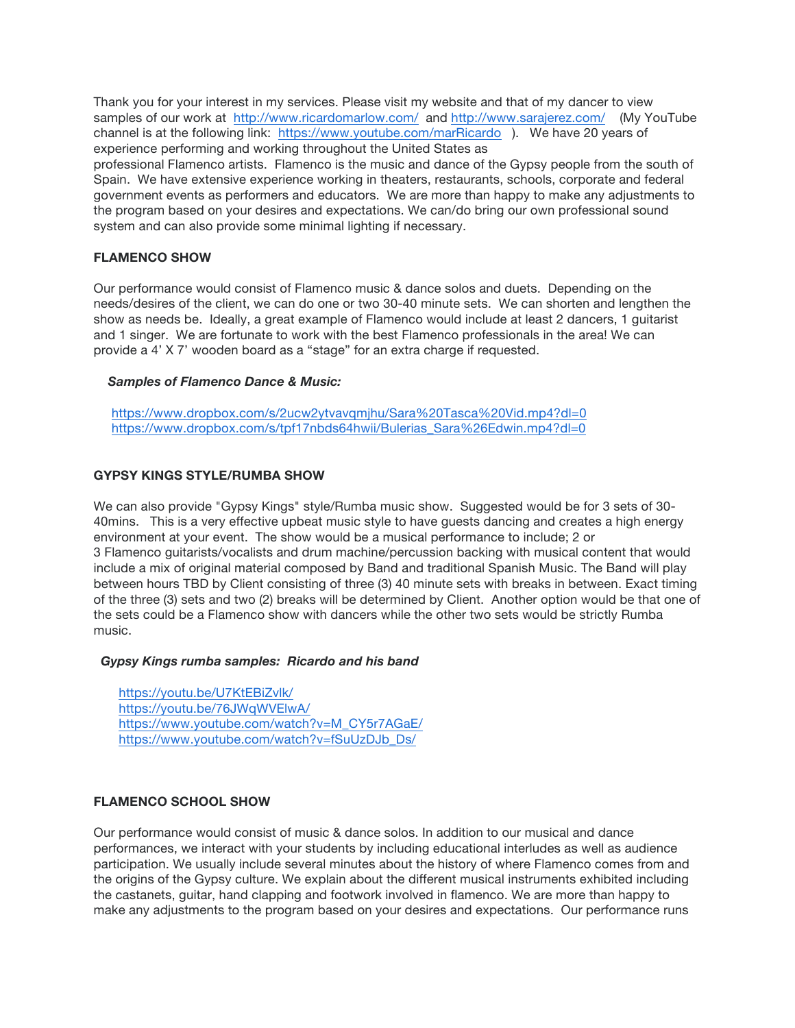Thank you for your interest in my services. Please visit my website and that of my dancer to view samples of our work at http://www.ricardomarlow.com/ and http://www.sarajerez.com/ (My YouTube channel is at the following link: https://www.youtube.com/marRicardo ). We have 20 years of experience performing and working throughout the United States as professional Flamenco artists. Flamenco is the music and dance of the Gypsy people from the south of Spain. We have extensive experience working in theaters, restaurants, schools, corporate and federal government events as performers and educators. We are more than happy to make any adjustments to the program based on your desires and expectations. We can/do bring our own professional sound system and can also provide some minimal lighting if necessary.

## **FLAMENCO SHOW**

Our performance would consist of Flamenco music & dance solos and duets. Depending on the needs/desires of the client, we can do one or two 30-40 minute sets. We can shorten and lengthen the show as needs be. Ideally, a great example of Flamenco would include at least 2 dancers, 1 guitarist and 1 singer. We are fortunate to work with the best Flamenco professionals in the area! We can provide a 4' X 7' wooden board as a "stage" for an extra charge if requested.

### *Samples of Flamenco Dance & Music:*

https://www.dropbox.com/s/2ucw2ytvavqmjhu/Sara%20Tasca%20Vid.mp4?dl=0 https://www.dropbox.com/s/tpf17nbds64hwii/Bulerias\_Sara%26Edwin.mp4?dl=0

### **GYPSY KINGS STYLE/RUMBA SHOW**

We can also provide "Gypsy Kings" style/Rumba music show. Suggested would be for 3 sets of 30- 40mins. This is a very effective upbeat music style to have guests dancing and creates a high energy environment at your event. The show would be a musical performance to include; 2 or 3 Flamenco guitarists/vocalists and drum machine/percussion backing with musical content that would include a mix of original material composed by Band and traditional Spanish Music. The Band will play between hours TBD by Client consisting of three (3) 40 minute sets with breaks in between. Exact timing of the three (3) sets and two (2) breaks will be determined by Client. Another option would be that one of the sets could be a Flamenco show with dancers while the other two sets would be strictly Rumba music.

### *Gypsy Kings rumba samples: Ricardo and his band*

https://youtu.be/U7KtEBiZvlk/ https://youtu.be/76JWqWVElwA/ https://www.youtube.com/watch?v=M\_CY5r7AGaE/ https://www.youtube.com/watch?v=fSuUzDJb\_Ds/

# **FLAMENCO SCHOOL SHOW**

Our performance would consist of music & dance solos. In addition to our musical and dance performances, we interact with your students by including educational interludes as well as audience participation. We usually include several minutes about the history of where Flamenco comes from and the origins of the Gypsy culture. We explain about the different musical instruments exhibited including the castanets, guitar, hand clapping and footwork involved in flamenco. We are more than happy to make any adjustments to the program based on your desires and expectations. Our performance runs